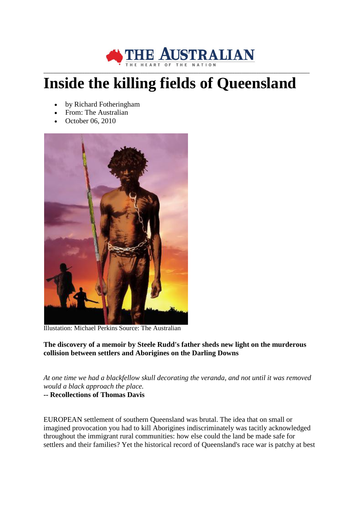

## **Inside the killing fields of Queensland**

- by Richard Fotheringham
- From: The Australian
- October 06, 2010



Illustation: Michael Perkins Source: The Australian

**The discovery of a memoir by Steele Rudd's father sheds new light on the murderous collision between settlers and Aborigines on the Darling Downs** 

*At one time we had a blackfellow skull decorating the veranda, and not until it was removed would a black approach the place.*

## **-- Recollections of Thomas Davis**

EUROPEAN settlement of southern Queensland was brutal. The idea that on small or imagined provocation you had to kill Aborigines indiscriminately was tacitly acknowledged throughout the immigrant rural communities: how else could the land be made safe for settlers and their families? Yet the historical record of Queensland's race war is patchy at best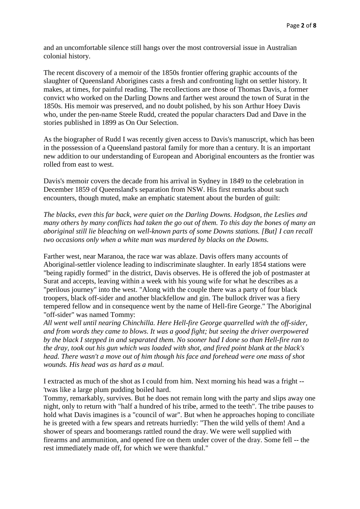and an uncomfortable silence still hangs over the most controversial issue in Australian colonial history.

The recent discovery of a memoir of the 1850s frontier offering graphic accounts of the slaughter of Queensland Aborigines casts a fresh and confronting light on settler history. It makes, at times, for painful reading. The recollections are those of Thomas Davis, a former convict who worked on the Darling Downs and farther west around the town of Surat in the 1850s. His memoir was preserved, and no doubt polished, by his son Arthur Hoey Davis who, under the pen-name Steele Rudd, created the popular characters Dad and Dave in the stories published in 1899 as On Our Selection.

As the biographer of Rudd I was recently given access to Davis's manuscript, which has been in the possession of a Queensland pastoral family for more than a century. It is an important new addition to our understanding of European and Aboriginal encounters as the frontier was rolled from east to west.

Davis's memoir covers the decade from his arrival in Sydney in 1849 to the celebration in December 1859 of Queensland's separation from NSW. His first remarks about such encounters, though muted, make an emphatic statement about the burden of guilt:

*The blacks, even this far back, were quiet on the Darling Downs. Hodgson, the Leslies and many others by many conflicts had taken the go out of them. To this day the bones of many an aboriginal still lie bleaching on well-known parts of some Downs stations. [But] I can recall two occasions only when a white man was murdered by blacks on the Downs.*

Farther west, near Maranoa, the race war was ablaze. Davis offers many accounts of Aboriginal-settler violence leading to indiscriminate slaughter. In early 1854 stations were "being rapidly formed" in the district, Davis observes. He is offered the job of postmaster at Surat and accepts, leaving within a week with his young wife for what he describes as a "perilous journey" into the west. "Along with the couple there was a party of four black troopers, black off-sider and another blackfellow and gin. The bullock driver was a fiery tempered fellow and in consequence went by the name of Hell-fire George." The Aboriginal "off-sider" was named Tommy:

*All went well until nearing Chinchilla. Here Hell-fire George quarrelled with the off-sider, and from words they came to blows. It was a good fight; but seeing the driver overpowered by the black I stepped in and separated them. No sooner had I done so than Hell-fire ran to the dray, took out his gun which was loaded with shot, and fired point blank at the black's head. There wasn't a move out of him though his face and forehead were one mass of shot wounds. His head was as hard as a maul.*

I extracted as much of the shot as I could from him. Next morning his head was a fright -- 'twas like a large plum pudding boiled hard.

Tommy, remarkably, survives. But he does not remain long with the party and slips away one night, only to return with "half a hundred of his tribe, armed to the teeth". The tribe pauses to hold what Davis imagines is a "council of war". But when he approaches hoping to conciliate he is greeted with a few spears and retreats hurriedly: "Then the wild yells of them! And a shower of spears and boomerangs rattled round the dray. We were well supplied with firearms and ammunition, and opened fire on them under cover of the dray. Some fell -- the rest immediately made off, for which we were thankful."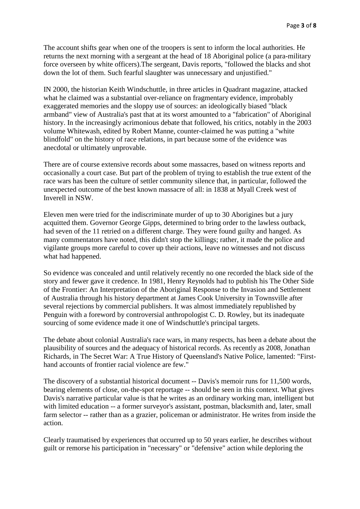The account shifts gear when one of the troopers is sent to inform the local authorities. He returns the next morning with a sergeant at the head of 18 Aboriginal police (a para-military force overseen by white officers).The sergeant, Davis reports, "followed the blacks and shot down the lot of them. Such fearful slaughter was unnecessary and unjustified."

IN 2000, the historian Keith Windschuttle, in three articles in Quadrant magazine, attacked what he claimed was a substantial over-reliance on fragmentary evidence, improbably exaggerated memories and the sloppy use of sources: an ideologically biased "black armband" view of Australia's past that at its worst amounted to a "fabrication" of Aboriginal history. In the increasingly acrimonious debate that followed, his critics, notably in the 2003 volume Whitewash, edited by Robert Manne, counter-claimed he was putting a "white blindfold" on the history of race relations, in part because some of the evidence was anecdotal or ultimately unprovable.

There are of course extensive records about some massacres, based on witness reports and occasionally a court case. But part of the problem of trying to establish the true extent of the race wars has been the culture of settler community silence that, in particular, followed the unexpected outcome of the best known massacre of all: in 1838 at Myall Creek west of Inverell in NSW.

Eleven men were tried for the indiscriminate murder of up to 30 Aborigines but a jury acquitted them. Governor George Gipps, determined to bring order to the lawless outback, had seven of the 11 retried on a different charge. They were found guilty and hanged. As many commentators have noted, this didn't stop the killings; rather, it made the police and vigilante groups more careful to cover up their actions, leave no witnesses and not discuss what had happened.

So evidence was concealed and until relatively recently no one recorded the black side of the story and fewer gave it credence. In 1981, Henry Reynolds had to publish his The Other Side of the Frontier: An Interpretation of the Aboriginal Response to the Invasion and Settlement of Australia through his history department at James Cook University in Townsville after several rejections by commercial publishers. It was almost immediately republished by Penguin with a foreword by controversial anthropologist C. D. Rowley, but its inadequate sourcing of some evidence made it one of Windschuttle's principal targets.

The debate about colonial Australia's race wars, in many respects, has been a debate about the plausibility of sources and the adequacy of historical records. As recently as 2008, Jonathan Richards, in The Secret War: A True History of Queensland's Native Police, lamented: "Firsthand accounts of frontier racial violence are few."

The discovery of a substantial historical document -- Davis's memoir runs for 11,500 words, bearing elements of close, on-the-spot reportage -- should be seen in this context. What gives Davis's narrative particular value is that he writes as an ordinary working man, intelligent but with limited education -- a former surveyor's assistant, postman, blacksmith and, later, small farm selector -- rather than as a grazier, policeman or administrator. He writes from inside the action.

Clearly traumatised by experiences that occurred up to 50 years earlier, he describes without guilt or remorse his participation in "necessary" or "defensive" action while deploring the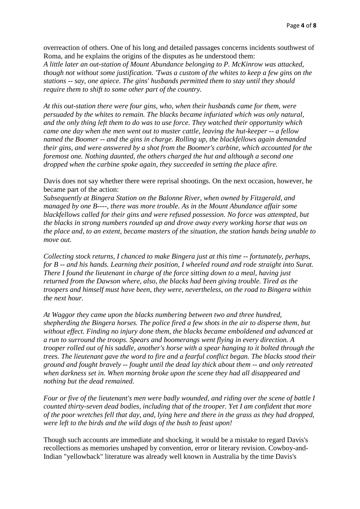overreaction of others. One of his long and detailed passages concerns incidents southwest of Roma, and he explains the origins of the disputes as he understood them:

*A little later an out-station of Mount Abundance belonging to P. McKinrow was attacked, though not without some justification. 'Twas a custom of the whites to keep a few gins on the stations -- say, one apiece. The gins' husbands permitted them to stay until they should require them to shift to some other part of the country.*

*At this out-station there were four gins, who, when their husbands came for them, were persuaded by the whites to remain. The blacks became infuriated which was only natural, and the only thing left them to do was to use force. They watched their opportunity which came one day when the men went out to muster cattle, leaving the hut-keeper -- a fellow named the Boomer -- and the gins in charge. Rolling up, the blackfellows again demanded their gins, and were answered by a shot from the Boomer's carbine, which accounted for the foremost one. Nothing daunted, the others charged the hut and although a second one dropped when the carbine spoke again, they succeeded in setting the place afire.*

Davis does not say whether there were reprisal shootings. On the next occasion, however, he became part of the action:

*Subsequently at Bingera Station on the Balonne River, when owned by Fitzgerald, and managed by one B----, there was more trouble. As in the Mount Abundance affair some blackfellows called for their gins and were refused possession. No force was attempted, but the blacks in strong numbers rounded up and drove away every working horse that was on the place and, to an extent, became masters of the situation, the station hands being unable to move out.*

*Collecting stock returns, I chanced to make Bingera just at this time -- fortunately, perhaps, for B -- and his hands. Learning their position, I wheeled round and rode straight into Surat. There I found the lieutenant in charge of the force sitting down to a meal, having just returned from the Dawson where, also, the blacks had been giving trouble. Tired as the troopers and himself must have been, they were, nevertheless, on the road to Bingera within the next hour.*

*At Waggor they came upon the blacks numbering between two and three hundred, shepherding the Bingera horses. The police fired a few shots in the air to disperse them, but without effect. Finding no injury done them, the blacks became emboldened and advanced at a run to surround the troops. Spears and boomerangs went flying in every direction. A trooper rolled out of his saddle, another's horse with a spear hanging to it bolted through the trees. The lieutenant gave the word to fire and a fearful conflict began. The blacks stood their ground and fought bravely -- fought until the dead lay thick about them -- and only retreated when darkness set in. When morning broke upon the scene they had all disappeared and nothing but the dead remained.*

*Four or five of the lieutenant's men were badly wounded, and riding over the scene of battle I counted thirty-seven dead bodies, including that of the trooper. Yet I am confident that more of the poor wretches fell that day, and, lying here and there in the grass as they had dropped, were left to the birds and the wild dogs of the bush to feast upon!*

Though such accounts are immediate and shocking, it would be a mistake to regard Davis's recollections as memories unshaped by convention, error or literary revision. Cowboy-and-Indian "yellowback" literature was already well known in Australia by the time Davis's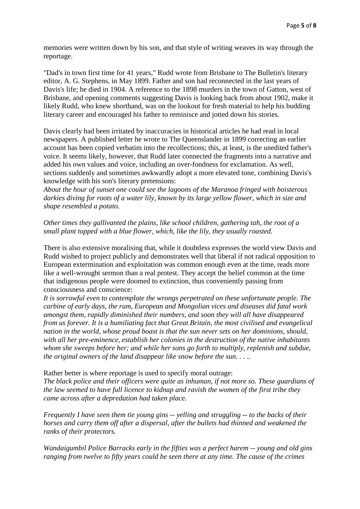memories were written down by his son, and that style of writing weaves its way through the reportage.

"Dad's in town first time for 41 years," Rudd wrote from Brisbane to The Bulletin's literary editor, A. G. Stephens, in May 1899. Father and son had reconnected in the last years of Davis's life; he died in 1904. A reference to the 1898 murders in the town of Gatton, west of Brisbane, and opening comments suggesting Davis is looking back from about 1902, make it likely Rudd, who knew shorthand, was on the lookout for fresh material to help his budding literary career and encouraged his father to reminisce and jotted down his stories.

Davis clearly had been irritated by inaccuracies in historical articles he had read in local newspapers. A published letter he wrote to The Queenslander in 1899 correcting an earlier account has been copied verbatim into the recollections; this, at least, is the unedited father's voice. It seems likely, however, that Rudd later connected the fragments into a narrative and added his own values and voice, including an over-fondness for exclamation. As well, sections suddenly and sometimes awkwardly adopt a more elevated tone, combining Davis's knowledge with his son's literary pretensions:

*About the hour of sunset one could see the lagoons of the Maranoa fringed with boisterous darkies diving for roots of a water lily, known by its large yellow flower, which in size and shape resembled a potato.*

*Other times they gallivanted the plains, like school children, gathering tah, the root of a small plant topped with a blue flower, which, like the lily, they usually roasted.*

There is also extensive moralising that, while it doubtless expresses the world view Davis and Rudd wished to project publicly and demonstrates well that liberal if not radical opposition to European extermination and exploitation was common enough even at the time, reads more like a well-wrought sermon than a real protest. They accept the belief common at the time that indigenous people were doomed to extinction, thus conveniently passing from consciousness and conscience:

*It is sorrowful even to contemplate the wrongs perpetrated on these unfortunate people. The carbine of early days, the rum, European and Mongolian vices and diseases did fatal work amongst them, rapidly diminished their numbers, and soon they will all have disappeared from us forever. It is a humiliating fact that Great Britain, the most civilised and evangelical nation in the world, whose proud boast is that the sun never sets on her dominions, should, with all her pre-eminence, establish her colonies in the destruction of the native inhabitants whom she sweeps before her; and while her sons go forth to multiply, replenish and subdue, the original owners of the land disappear like snow before the sun. . . ..*

Rather better is where reportage is used to specify moral outrage:

*The black police and their officers were quite as inhuman, if not more so. These guardians of the law seemed to have full licence to kidnap and ravish the women of the first tribe they came across after a depredation had taken place.*

*Frequently I have seen them tie young gins -- yelling and struggling -- to the backs of their horses and carry them off after a dispersal, after the bullets had thinned and weakened the ranks of their protectors.*

*Wandaigumbil Police Barracks early in the fifties was a perfect harem -- young and old gins ranging from twelve to fifty years could be seen there at any time. The cause of the crimes*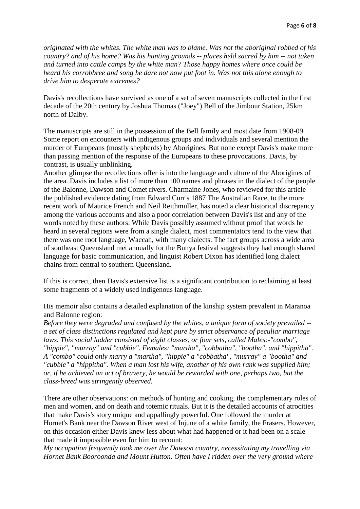*originated with the whites. The white man was to blame. Was not the aboriginal robbed of his country? and of his home? Was his hunting grounds -- places held sacred by him -- not taken and turned into cattle camps by the white man? Those happy homes where once could be heard his corrobbree and song he dare not now put foot in. Was not this alone enough to drive him to desperate extremes?*

Davis's recollections have survived as one of a set of seven manuscripts collected in the first decade of the 20th century by Joshua Thomas ("Joey") Bell of the Jimbour Station, 25km north of Dalby.

The manuscripts are still in the possession of the Bell family and most date from 1908-09. Some report on encounters with indigenous groups and individuals and several mention the murder of Europeans (mostly shepherds) by Aborigines. But none except Davis's make more than passing mention of the response of the Europeans to these provocations. Davis, by contrast, is usually unblinking.

Another glimpse the recollections offer is into the language and culture of the Aborigines of the area. Davis includes a list of more than 100 names and phrases in the dialect of the people of the Balonne, Dawson and Comet rivers. Charmaine Jones, who reviewed for this article the published evidence dating from Edward Curr's 1887 The Australian Race, to the more recent work of Maurice French and Neil Reithmuller, has noted a clear historical discrepancy among the various accounts and also a poor correlation between Davis's list and any of the words noted by these authors. While Davis possibly assumed without proof that words he heard in several regions were from a single dialect, most commentators tend to the view that there was one root language, Waccah, with many dialects. The fact groups across a wide area of southeast Queensland met annually for the Bunya festival suggests they had enough shared language for basic communication, and linguist Robert Dixon has identified long dialect chains from central to southern Queensland.

If this is correct, then Davis's extensive list is a significant contribution to reclaiming at least some fragments of a widely used indigenous language.

His memoir also contains a detailed explanation of the kinship system prevalent in Maranoa and Balonne region:

*Before they were degraded and confused by the whites, a unique form of society prevailed - a set of class distinctions regulated and kept pure by strict observance of peculiar marriage laws. This social ladder consisted of eight classes, or four sets, called Males:-"combo", "hippie", "murray" and "cubbie". Females: "martha", "cobbatha", "bootha", and "hippitha". A "combo" could only marry a "martha", "hippie" a "cobbatha", "murray" a "bootha" and "cubbie" a "hippitha". When a man lost his wife, another of his own rank was supplied him; or, if he achieved an act of bravery, he would be rewarded with one, perhaps two, but the class-breed was stringently observed.*

There are other observations: on methods of hunting and cooking, the complementary roles of men and women, and on death and totemic rituals. But it is the detailed accounts of atrocities that make Davis's story unique and appallingly powerful. One followed the murder at Hornet's Bank near the Dawson River west of Injune of a white family, the Frasers. However, on this occasion either Davis knew less about what had happened or it had been on a scale that made it impossible even for him to recount:

*My occupation frequently took me over the Dawson country, necessitating my travelling via Hornet Bank Booroonda and Mount Hutton. Often have I ridden over the very ground where*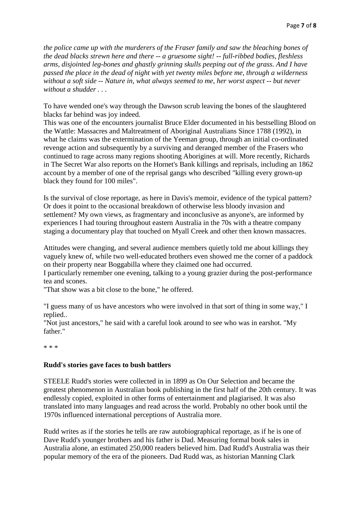*the police came up with the murderers of the Fraser family and saw the bleaching bones of the dead blacks strewn here and there -- a gruesome sight! -- full-ribbed bodies, fleshless arms, disjointed leg-bones and ghastly grinning skulls peeping out of the grass. And I have passed the place in the dead of night with yet twenty miles before me, through a wilderness without a soft side -- Nature in, what always seemed to me, her worst aspect -- but never without a shudder . . .*

To have wended one's way through the Dawson scrub leaving the bones of the slaughtered blacks far behind was joy indeed.

This was one of the encounters journalist Bruce Elder documented in his bestselling Blood on the Wattle: Massacres and Maltreatment of Aboriginal Australians Since 1788 (1992), in what he claims was the extermination of the Yeeman group, through an initial co-ordinated revenge action and subsequently by a surviving and deranged member of the Frasers who continued to rage across many regions shooting Aborigines at will. More recently, Richards in The Secret War also reports on the Hornet's Bank killings and reprisals, including an 1862 account by a member of one of the reprisal gangs who described "killing every grown-up black they found for 100 miles".

Is the survival of close reportage, as here in Davis's memoir, evidence of the typical pattern? Or does it point to the occasional breakdown of otherwise less bloody invasion and settlement? My own views, as fragmentary and inconclusive as anyone's, are informed by experiences I had touring throughout eastern Australia in the 70s with a theatre company staging a documentary play that touched on Myall Creek and other then known massacres.

Attitudes were changing, and several audience members quietly told me about killings they vaguely knew of, while two well-educated brothers even showed me the corner of a paddock on their property near Boggabilla where they claimed one had occurred.

I particularly remember one evening, talking to a young grazier during the post-performance tea and scones.

"That show was a bit close to the bone," he offered.

"I guess many of us have ancestors who were involved in that sort of thing in some way," I replied..

"Not just ancestors," he said with a careful look around to see who was in earshot. "My father."

\* \* \*

## **Rudd's stories gave faces to bush battlers**

STEELE Rudd's stories were collected in in 1899 as On Our Selection and became the greatest phenomenon in Australian book publishing in the first half of the 20th century. It was endlessly copied, exploited in other forms of entertainment and plagiarised. It was also translated into many languages and read across the world. Probably no other book until the 1970s influenced international perceptions of Australia more.

Rudd writes as if the stories he tells are raw autobiographical reportage, as if he is one of Dave Rudd's younger brothers and his father is Dad. Measuring formal book sales in Australia alone, an estimated 250,000 readers believed him. Dad Rudd's Australia was their popular memory of the era of the pioneers. Dad Rudd was, as historian Manning Clark